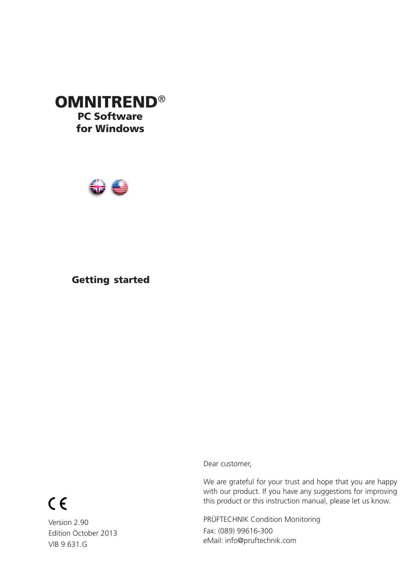# **OMNITREND®** PC Software for Windows



# Getting started

Dear customer,

We are grateful for your trust and hope that you are happy with our product. If you have any suggestions for improving this product or this instruction manual, please let us know.

PRÜFTECHNIK Condition Monitoring Fax: (089) 99616-300 eMail: info@pruftechnik.com

# $C \in$

Version 2.90 Edition October 2013 VIB 9.631.G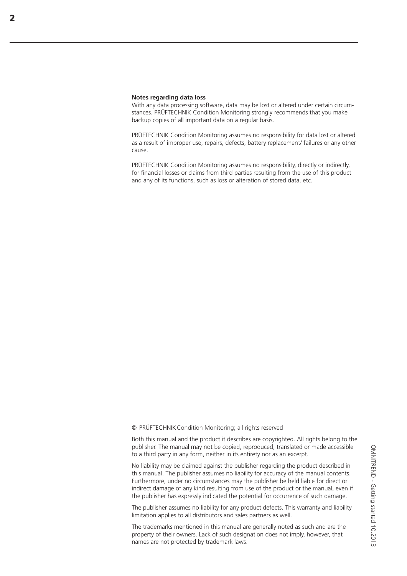#### **Notes regarding data loss**

With any data processing software, data may be lost or altered under certain circumstances. PRÜFTECHNIK Condition Monitoring strongly recommends that you make backup copies of all important data on a regular basis.

PRÜFTECHNIK Condition Monitoring assumes no responsibility for data lost or altered as a result of improper use, repairs, defects, battery replacement/ failures or any other cause.

PRÜFTECHNIK Condition Monitoring assumes no responsibility, directly or indirectly, for financial losses or claims from third parties resulting from the use of this product and any of its functions, such as loss or alteration of stored data, etc.

© PRÜFTECHNIKCondition Monitoring; all rights reserved

Both this manual and the product it describes are copyrighted. All rights belong to the publisher. The manual may not be copied, reproduced, translated or made accessible to a third party in any form, neither in its entirety nor as an excerpt.

No liability may be claimed against the publisher regarding the product described in this manual. The publisher assumes no liability for accuracy of the manual contents. Furthermore, under no circumstances may the publisher be held liable for direct or indirect damage of any kind resulting from use of the product or the manual, even if the publisher has expressly indicated the potential for occurrence of such damage.

The publisher assumes no liability for any product defects. This warranty and liability limitation applies to all distributors and sales partners as well.

The trademarks mentioned in this manual are generally noted as such and are the property of their owners. Lack of such designation does not imply, however, that names are not protected by trademark laws.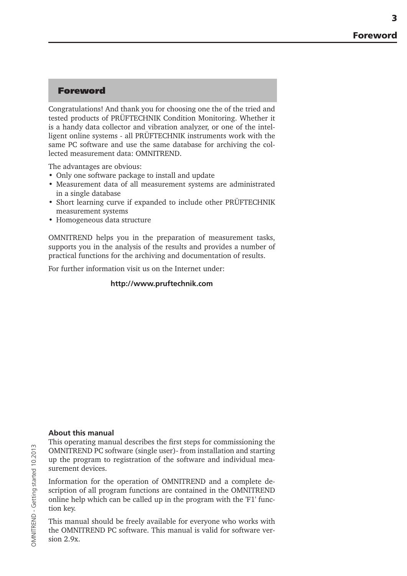## Foreword

Congratulations! And thank you for choosing one the of the tried and tested products of PRÜFTECHNIK Condition Monitoring. Whether it is a handy data collector and vibration analyzer, or one of the intelligent online systems - all PRÜFTECHNIK instruments work with the same PC software and use the same database for archiving the collected measurement data: OMNITREND.

The advantages are obvious:

- Only one software package to install and update
- Measurement data of all measurement systems are administrated in a single database
- Short learning curve if expanded to include other PRÜFTECHNIK measurement systems
- Homogeneous data structure

OMNITREND helps you in the preparation of measurement tasks, supports you in the analysis of the results and provides a number of practical functions for the archiving and documentation of results.

For further information visit us on the Internet under:

#### **http://www.pruftechnik.com**

#### **About this manual**

This operating manual describes the first steps for commissioning the OMNITREND PC software (single user)- from installation and starting up the program to registration of the software and individual measurement devices.

Information for the operation of OMNITREND and a complete description of all program functions are contained in the OMNITREND online help which can be called up in the program with the 'F1' function key.

This manual should be freely available for everyone who works with the OMNITREND PC software. This manual is valid for software version 2.9x.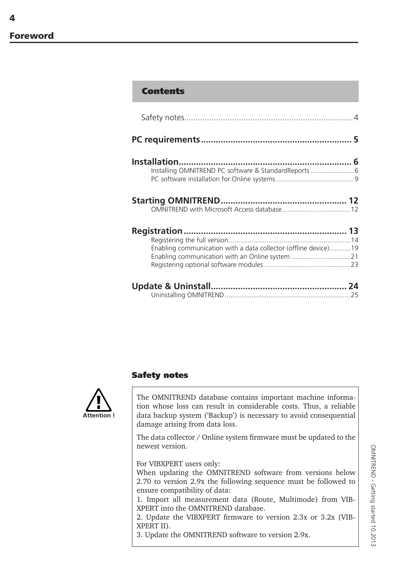$\Delta$ 

## **Contents**

| Enabling communication with a data collector (offline device) 19 |
|------------------------------------------------------------------|
|                                                                  |
|                                                                  |

## Safety notes



The OMNITREND database contains important machine information whose loss can result in considerable costs. Thus, a reliable data backup system ('Backup') is necessary to avoid consequential damage arising from data loss.

The data collector / Online system firmware must be updated to the newest version.

For VIBXPERT users only:

When updating the OMNITREND software from versions below 2.70 to version 2.9x the following sequence must be followed to ensure compatibility of data:

1. Import all measurement data (Route, Multimode) from VIB-XPERT into the OMNITREND database.

2. Update the VIBXPERT firmware to version 2.3x or 3.2x (VIB-XPERT II).

3. Update the OMNITREND software to version 2.9x.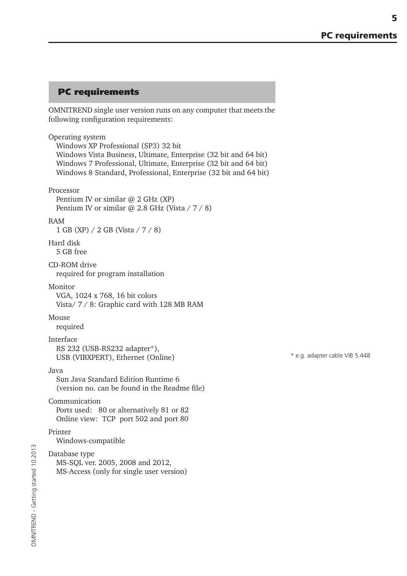5

## PC requirements

OMNITREND single user version runs on any computer that meets the following configuration requirements:

#### Operating system

Windows XP Professional (SP3) 32 bit Windows Vista Business, Ultimate, Enterprise (32 bit and 64 bit) Windows 7 Professional, Ultimate, Enterprise (32 bit and 64 bit) Windows 8 Standard, Professional, Enterprise (32 bit and 64 bit)

#### Processor

Pentium IV or similar  $@$  2 GHz (XP) Pentium IV or similar @ 2.8 GHz (Vista / 7 / 8)

#### RAM

1 GB (XP) / 2 GB (Vista / 7 / 8)

# Hard disk

5 GB free

#### CD-ROM drive required for program installation

#### Monitor

VGA, 1024 x 768, 16 bit colors Vista/ 7 / 8: Graphic card with 128 MB RAM

#### Mouse

required

#### Interface

RS 232 (USB-RS232 adapter\*), USB (VIBXPERT), Ethernet (Online)

#### Java

Sun Java Standard Edition Runtime 6 (version no. can be found in the Readme file)

#### Communication

Ports used: 80 or alternatively 81 or 82 Online view: TCP port 502 and port 80

#### Printer

Windows-compatible

## Database type

MS-SQL ver. 2005, 2008 and 2012, MS-Access (only for single user version) \* e.g. adapter cable VIB 5.448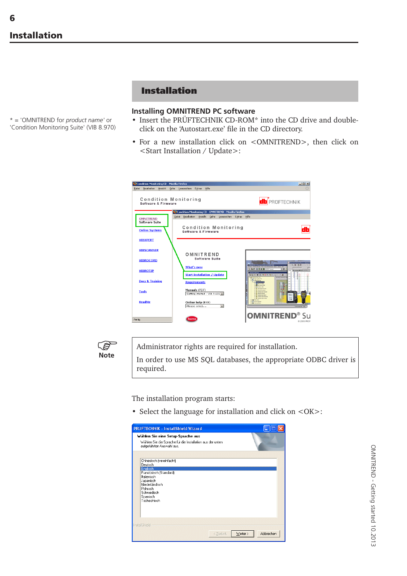\* = 'OMNITREND for *product name'* or 'Condition Monitoring Suite' (VIB 8.970)

# Installation

## **Installing OMNITREND PC software**

- Insert the PRÜFTECHNIK CD-ROM\* into the CD drive and doubleclick on the 'Autostart.exe' file in the CD directory.
- For a new installation click on <OMNITREND>, then click on <Start Installation / Update>:





Administrator rights are required for installation.

In order to use MS SQL databases, the appropriate ODBC driver is required.

The installation program starts:

• Select the language for installation and click on <OK>:



OMNITREND - Getting started 10.2013 OMNITREND - Getting started 10.2013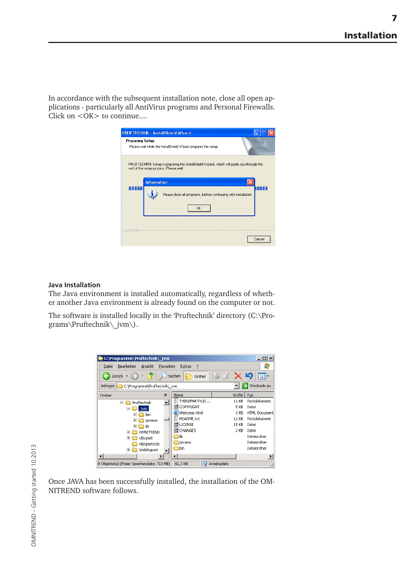7

In accordance with the subsequent installation note, close all open applications - particularly all AntiVirus programs and Personal Firewalls. Click on  $\leq$ OK $>$  to continue....



#### **Java Installation**

The Java environment is installed automatically, regardless of whether another Java environment is already found on the computer or not.

The software is installed locally in the 'Pruftechnik' directory (C:\Programs\Pruftechnik\\_jvm\).

| C:\Programme\Pruftechnik\ jvm               |                                         |       | $ \Box$ $\times$     |  |  |  |
|---------------------------------------------|-----------------------------------------|-------|----------------------|--|--|--|
| Bearbeiten<br>Ansicht<br>Datei<br>Favoriten | Extras<br>7                             |       |                      |  |  |  |
| Zurück -<br>Ⅲ.<br>Suchen<br>Ordner          |                                         |       |                      |  |  |  |
| Adresse C:\Programme\Pruftechnik\_jvm       |                                         |       | Wechseln zu          |  |  |  |
| $\times$<br>Ordner                          | Name                                    | Größe | Typ                  |  |  |  |
| Pruftechnik<br>冃                            | <b>E</b> THIRDPARTYLIC                  | 11 KB | Textdokument         |  |  |  |
| $\Box$<br>jvm.                              | <b>M</b> COPYRIGHT                      | 5 KB  | Datei                |  |  |  |
| 曱<br>bin                                    | Welcome.html                            | 1 KB  | <b>HTML Document</b> |  |  |  |
| 曱<br>javaws                                 | E README.txt                            | 12 KB | Textdokument         |  |  |  |
| $\overline{+}$<br>lib                       | <b>ES</b> LICENSE                       | 15 KB | Datei                |  |  |  |
| OMNITREND<br>$\overline{+}$                 | <b>ल</b> CHANGES                        | 2 KB  | Datei                |  |  |  |
| $\overline{+}$<br>vibxpert                  | ħlib                                    |       | Dateiordner          |  |  |  |
| VibXpertUSB                                 | <b>h</b> javaws                         |       | Dateiordner          |  |  |  |
| WebReport<br>$\overline{+}$                 | hbin                                    |       | Dateiordner          |  |  |  |
| 0 Objekte(e) (Freier Speicherplatz: 710 MB) | <b>Arbeitenlatz</b><br>$42.2 \text{VP}$ |       |                      |  |  |  |

Once JAVA has been successfully installed, the installation of the OM-NITREND software follows.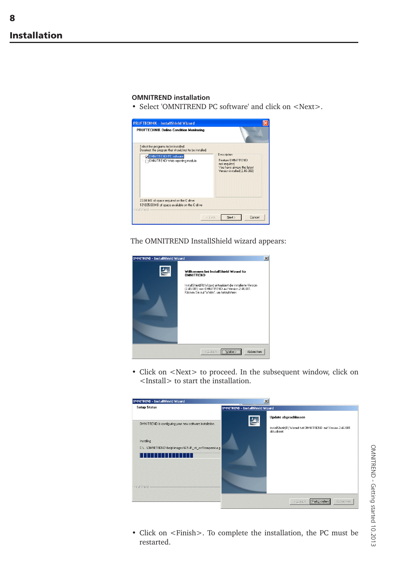8

#### **OMNITREND installation**

• Select 'OMNITREND PC software' and click on <Next>.



The OMNITREND InstallShield wizard appears:



• Click on <Next> to proceed. In the subsequent window, click on <Install> to start the installation.



• Click on <Finish>. To complete the installation, the PC must be restarted.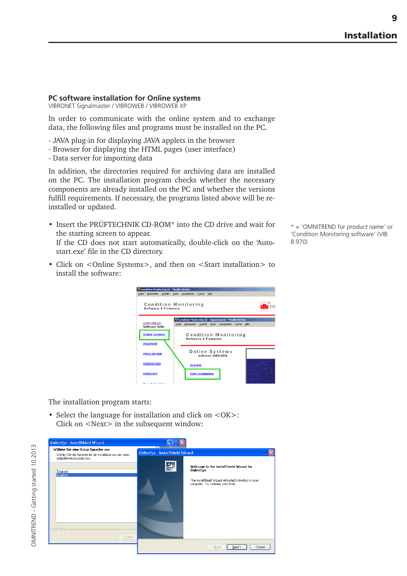## **PC software installation for Online systems**

VIBRONET Signalmaster / VIBROWEB / VIBROWEB XP

In order to communicate with the online system and to exchange data, the following files and programs must be installed on the PC.

- JAVA plug-in for displaying JAVA applets in the browser
- Browser for displaying the HTML pages (user interface)
- Data server for importing data

In addition, the directories required for archiving data are installed on the PC. The installation program checks whether the necessary components are already installed on the PC and whether the versions fulfill requirements. If necessary, the programs listed above will be reinstalled or updated.

• Insert the PRÜFTECHNIK CD-ROM\* into the CD drive and wait for the starting screen to appear. If the CD does not start automatically, double-click on the 'Auto-

start.exe' file in the CD directory.

n<mark>dition Monitoring CD - Mozilla Firefox</mark><br>- Bearbeiten - <u>A</u>nsicht - <u>G</u>ehe - Lesezeichen - Extras -

• Click on <Online Systems>, and then on <Start installation> to install the software:

**D**Condition Mo

**Condition Monitoring**<br>software & Firmware db<sup>e</sup>pr Condition Monitoring CD - Sign lmaster - Mozilla Firefo: OMNITREND<br>Software Suit Ansicht  $then$  Extras **Online Systems** Condition Monitoring<br>software & Firmware VIBXPERT Online Systems<br>
without VIBNODE VIBSCANNER **VIBROCORD README** VIBROTIP **Start installation** 

The installation program starts:

• Select the language for installation and click on <OK>: Click on <Next> in the subsequent window:

| <b>OnlineSys - InstallShield Wizard</b><br>Wählen Sie eine Setup-Sprache aus<br>Wählen Sie die Sprache für die Installation aus der unten<br>aufgeführten Auswahl aus. | OnlineSys - InstallShield Wizard                                                                                                                                                 | ×      |
|------------------------------------------------------------------------------------------------------------------------------------------------------------------------|----------------------------------------------------------------------------------------------------------------------------------------------------------------------------------|--------|
| Deutsch<br>Englisch                                                                                                                                                    | $\blacktriangle$<br>Welcome to the InstallShield Wizard for<br><b>OnlineSys</b><br>The InstallShield Wizard will install OnlineSys on your<br>computer. To continue, click Next. |        |
| InstallShield<br>< Zurück                                                                                                                                              | < Back<br>Next                                                                                                                                                                   | Cancel |

\* = 'OMNITREND for *product name'* or 'Condition Monitoring software' (VIB 8.970)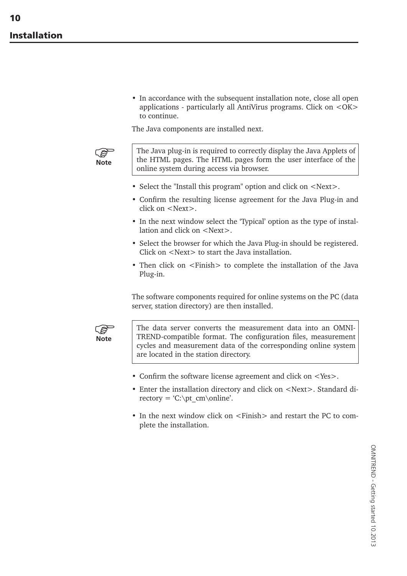• In accordance with the subsequent installation note, close all open applications - particularly all AntiVirus programs. Click on <OK> to continue.

The Java components are installed next.



The Java plug-in is required to correctly display the Java Applets of the HTML pages. The HTML pages form the user interface of the online system during access via browser.

- Select the "Install this program" option and click on <Next>.
- Confirm the resulting license agreement for the Java Plug-in and click on <Next>.
- In the next window select the 'Typical' option as the type of installation and click on <Next>.
- Select the browser for which the Java Plug-in should be registered. Click on <Next> to start the Java installation.
- Then click on <Finish> to complete the installation of the Java Plug-in.

The software components required for online systems on the PC (data server, station directory) are then installed.



The data server converts the measurement data into an OMNI-TREND-compatible format. The configuration files, measurement cycles and measurement data of the corresponding online system are located in the station directory.

- Confirm the software license agreement and click on <Yes>.
- Enter the installation directory and click on <Next>. Standard directory = 'C:\pt\_cm\online'.
- In the next window click on  $\le$  Finish  $>$  and restart the PC to complete the installation.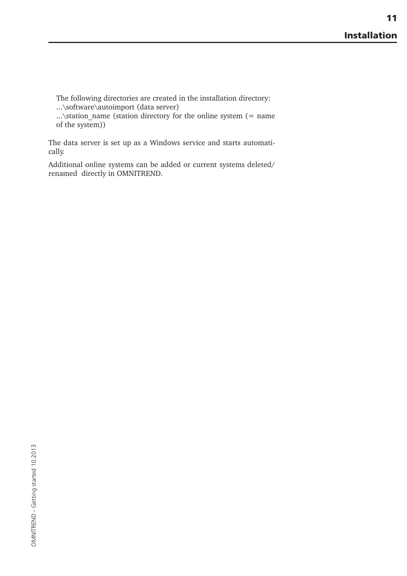The following directories are created in the installation directory: ...\software\autoimport (data server)

...\station\_name (station directory for the online system (= name of the system))

The data server is set up as a Windows service and starts automatically.

Additional online systems can be added or current systems deleted/ renamed directly in OMNITREND.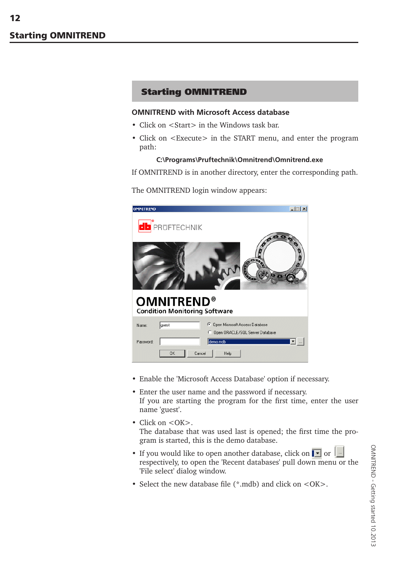# Starting OMNITREND

#### **OMNITREND with Microsoft Access database**

- Click on  $\leq$ Start $>$  in the Windows task bar.
- Click on <Execute> in the START menu, and enter the program path:

#### **C:\Programs\Pruftechnik\Omnitrend\Omnitrend.exe**

If OMNITREND is in another directory, enter the corresponding path.

The OMNITREND login window appears:



- Enable the 'Microsoft Access Database' option if necessary.
- Enter the user name and the password if necessary. If you are starting the program for the first time, enter the user name 'guest'.
- Click on <OK>. The database that was used last is opened; the first time the program is started, this is the demo database.
- If you would like to open another database, click on  $\bullet$  or  $\bullet$ respectively, to open the 'Recent databases' pull down menu or the 'File select' dialog window.
- Select the new database file (\*.mdb) and click on <OK>.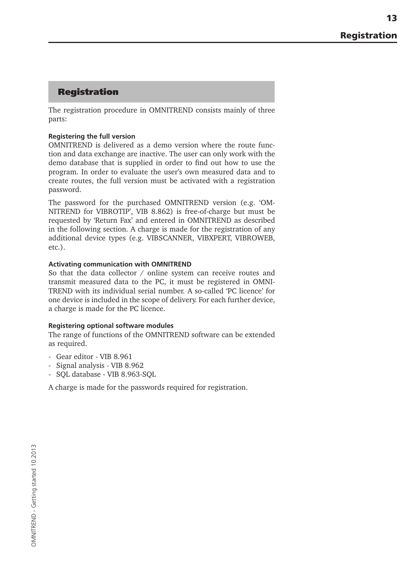# Registration

The registration procedure in OMNITREND consists mainly of three parts:

## **Registering the full version**

OMNITREND is delivered as a demo version where the route function and data exchange are inactive. The user can only work with the demo database that is supplied in order to find out how to use the program. In order to evaluate the user's own measured data and to create routes, the full version must be activated with a registration password.

The password for the purchased OMNITREND version (e.g. 'OM-NITREND for VIBROTIP', VIB 8.862) is free-of-charge but must be requested by 'Return Fax' and entered in OMNITREND as described in the following section. A charge is made for the registration of any additional device types (e.g. VIBSCANNER, VIBXPERT, VIBROWEB, etc.).

#### **Activating communication with OMNITREND**

So that the data collector / online system can receive routes and transmit measured data to the PC, it must be registered in OMNI-TREND with its individual serial number. A so-called 'PC licence' for one device is included in the scope of delivery. For each further device, a charge is made for the PC licence.

#### **Registering optional software modules**

The range of functions of the OMNITREND software can be extended as required.

- Gear editor VIB 8.961
- Signal analysis VIB 8.962
- SQL database VIB 8.963-SQL

A charge is made for the passwords required for registration.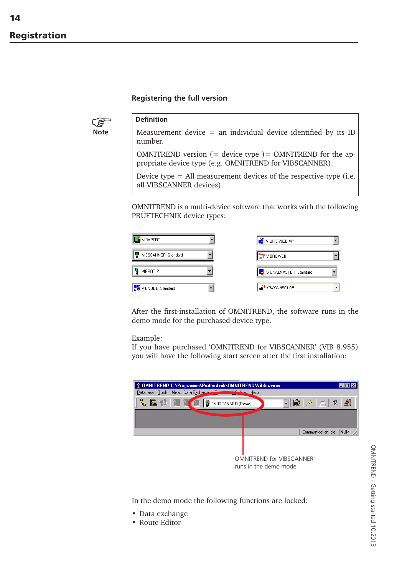14

## **Registering the full version**



## **Definition**

Measurement device  $=$  an individual device identified by its ID number.

OMNITREND version  $(=$  device type  $)=$  OMNITREND for the appropriate device type (e.g. OMNITREND for VIBSCANNER).

Device type = All measurement devices of the respective type (i.e. all VIBSCANNER devices).

OMNITREND is a multi-device software that works with the following PRÜFTECHNIK device types:



After the first-installation of OMNITREND, the software runs in the demo mode for the purchased device type.

#### Example:

If you have purchased 'OMNITREND for VIBSCANNER' (VIB 8.955) you will have the following start screen after the first installation:



In the demo mode the following functions are locked:

- Data exchange
- Route Editor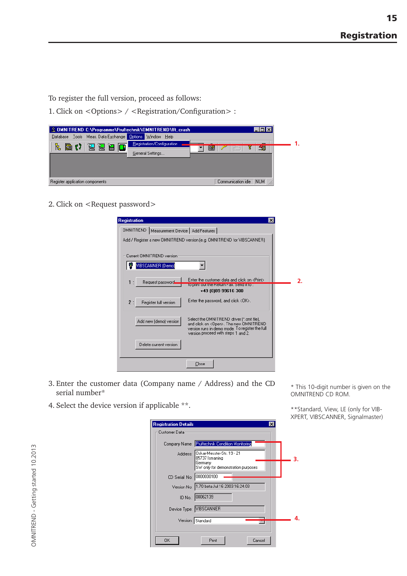To register the full version, proceed as follows:

1. Click on <Options> / <Registration/Configuration> :

| & OMNITREND C:\Programme\Pruftechnik\OMNITREND\fft_crash<br>- 미×   |  |
|--------------------------------------------------------------------|--|
| Database Tools Meas. Data Exchange Options Window Help             |  |
| Registration/Configuration<br>玉<br><b>原り活活用口</b><br>$\blacksquare$ |  |
| $\mathbb{E}$ $\mathbb{Z}$<br>General Settings                      |  |
|                                                                    |  |
|                                                                    |  |
|                                                                    |  |
| NUM<br>Communication idle<br>Register application components       |  |

2. Click on <Request password>

| <b>Registration</b><br>×                                                                                                                                                                                         |  |
|------------------------------------------------------------------------------------------------------------------------------------------------------------------------------------------------------------------|--|
| OMNITREND   Measurement Device   Add Features                                                                                                                                                                    |  |
| Add / Register a new OMNITREND version (e.g. OMNITREND for VIBSCANNER).                                                                                                                                          |  |
|                                                                                                                                                                                                                  |  |
| Current OMNITREND version                                                                                                                                                                                        |  |
| VIBSCANNER (Demo)                                                                                                                                                                                                |  |
| Enter the customer data and click on <print><br/>Request password<br/>1<br/>٠</print>                                                                                                                            |  |
| to print out the Heturn hax, Send it to :<br>+49 (0)89 99616 300                                                                                                                                                 |  |
| Enter the password, and click <dk>.<br/>2:<br/>Register full version</dk>                                                                                                                                        |  |
| Select the OMNITREND driver (*.omt file),<br>Add new (demo) version<br>and click on <open>. The new OMNITREND<br/>version runs in demo mode. To register the full<br/>version proceed with steps 1 and 2.</open> |  |
| Delete current version                                                                                                                                                                                           |  |
| Close                                                                                                                                                                                                            |  |

- 3. Enter the customer data (Company name / Address) and the CD serial number\*
- 4. Select the device version if applicable \*\*.

Registration Details ञ Customer Data Company Name: Pruftechnik Condition Monitoring Oskar-Messter-Str. 19 - 21<br>85737 Ismaning Address: **3.** oor or isinaring<br>Germany<br>SW only for demonstration purposes CD Serial No: 0000000100 Version No: 1.70 beta Jul 16 2003 16:24:03 ID No.: 00062139 Device Type: VIBSCANNER **4.** Version: Standard  $\overline{OK}$ Print Cancel

\* This 10-digit number is given on the OMNITREND CD ROM.

\*\*Standard, View, LE (only for VIB-XPERT, VIBSCANNER, Signalmaster)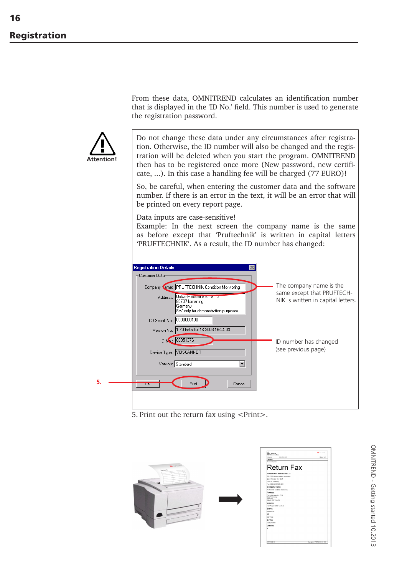From these data, OMNITREND calculates an identification number that is displayed in the 'ID No.' field. This number is used to generate the registration password.



Do not change these data under any circumstances after registration. Otherwise, the ID number will also be changed and the registration will be deleted when you start the program. OMNITREND then has to be registered once more (New password, new certificate, ...). In this case a handling fee will be charged (77 EURO)!

So, be careful, when entering the customer data and the software number. If there is an error in the text, it will be an error that will be printed on every report page.

Data inputs are case-sensitive!

Example: In the next screen the company name is the same as before except that 'Pruftechnik' is written in capital letters 'PRUFTECHNIK'. As a result, the ID number has changed:



5. Print out the return fax using <Print>.



OMNITREND - Getting started 10.2013 OMNITREND - Getting started 10.2013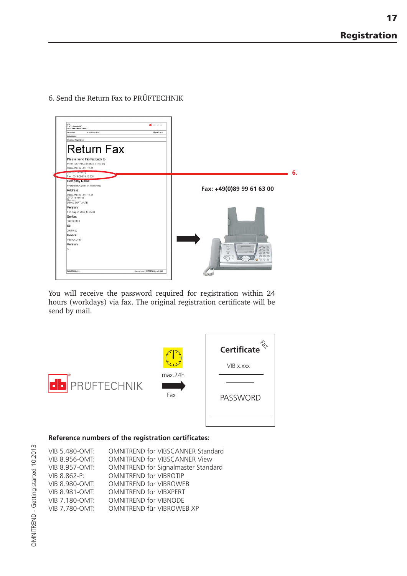6. Send the Return Fax to PRÜFTECHNIK



You will receive the password required for registration within 24 hours (workdays) via fax. The original registration certificate will be send by mail.



#### **Reference numbers of the registration certificates:**

| VIB 5.480-OMT:        | OMNITREND for VIBSCANNER Standard    |
|-----------------------|--------------------------------------|
| VIB 8.956-OMT:        | <b>OMNITREND for VIBSCANNER View</b> |
| VIB 8.957-OMT:        | OMNITREND for Signalmaster Standard  |
| VIB 8.862-P:          | <b>OMNITREND for VIBROTIP</b>        |
| VIB 8.980-OMT:        | <b>OMNITREND for VIBROWEB</b>        |
| <b>VIB 8.981-OMT:</b> | <b>OMNITREND for VIBXPERT</b>        |
| VIB 7.180-OMT:        | <b>OMNITREND for VIBNODE</b>         |
| VIB 7.780-OMT:        | OMNITREND für VIBROWEB XP            |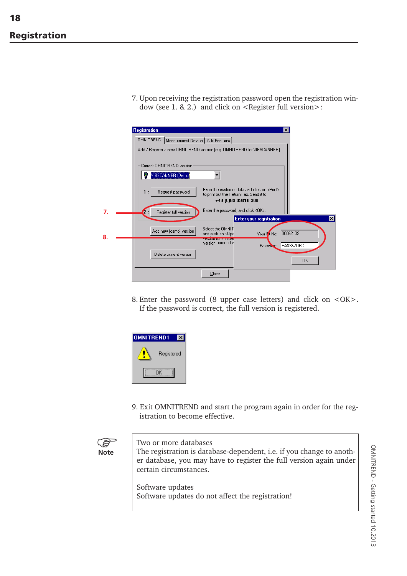7. Upon receiving the registration password open the registration window (see 1.  $\&$  2.) and click on <Register full version>:

|    | <b>Registration</b><br>$\vert x \vert$                                                                                                                 |
|----|--------------------------------------------------------------------------------------------------------------------------------------------------------|
|    | OMNITREND   Measurement Device   Add Features                                                                                                          |
|    | Add / Register a new OMNITREND version (e.g. OMNITREND for VIBSCANNER)                                                                                 |
|    | Current OMNITREND version-<br>VIBSCANNER (Demo)                                                                                                        |
|    | Enter the customer data and click on <print><br/>Request password<br/>1:<br/>to print out the Return Fax. Send it to :<br/>+49 (0)89 99616 300</print> |
|    | Enter the password, and click <dk>.<br/>Register full version<br/><math>\mathbf{z}</math>:<br/><b>Enter your registration</b><br/>×</dk>               |
| 8. | Select the OMNIT<br>Add new (demo) version<br>00062139<br>and click on <ope<br>Your IV No:<br/><b>ACCEPTED AND CONTINUES</b></ope<br>                  |
|    | version proceed v<br>PASSWORD<br>Password:<br>Delete current version<br>OK.                                                                            |
|    | Close                                                                                                                                                  |

8. Enter the password (8 upper case letters) and click on <OK>. If the password is correct, the full version is registered.



9. Exit OMNITREND and start the program again in order for the registration to become effective.

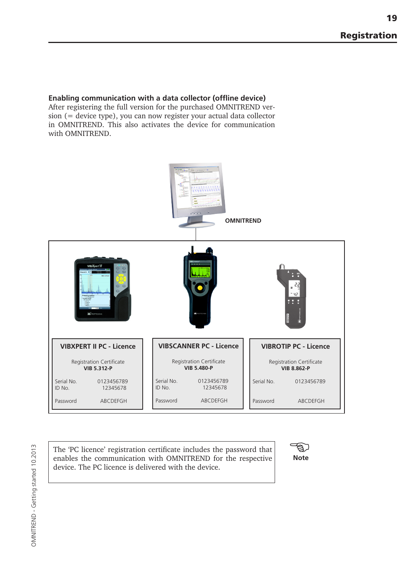19

## **Enabling communication with a data collector (offline device)**

After registering the full version for the purchased OMNITREND version (= device type), you can now register your actual data collector in OMNITREND. This also activates the device for communication with OMNITREND.



The 'PC licence' registration certificate includes the password that enables the communication with OMNITREND for the respective device. The PC licence is delivered with the device.

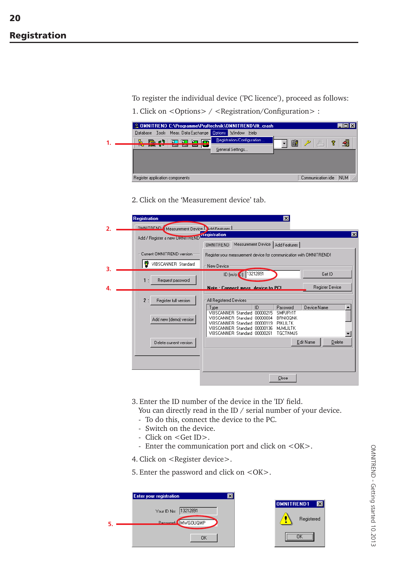To register the individual device ('PC licence'), proceed as follows:

|  |                                 |                                                        |  |                  | & OMNITREND C:\Programme\Pruftechnik\OMNITREND\fft_crash |   |                                             |     |
|--|---------------------------------|--------------------------------------------------------|--|------------------|----------------------------------------------------------|---|---------------------------------------------|-----|
|  |                                 | Database Tools Meas. Data Exchange Options Window Help |  |                  |                                                          |   |                                             |     |
|  |                                 |                                                        |  |                  | Registration/Configuration                               | 簂 | $\frac{1}{\sqrt{2}}$<br>$\mathscr{P}$<br>ୃଙ |     |
|  |                                 |                                                        |  | General Settings |                                                          |   |                                             |     |
|  |                                 |                                                        |  |                  |                                                          |   |                                             |     |
|  |                                 |                                                        |  |                  |                                                          |   |                                             |     |
|  |                                 |                                                        |  |                  |                                                          |   |                                             |     |
|  | Register application components |                                                        |  |                  |                                                          |   | Communication idle                          | NUM |

2. Click on the 'Measurement device' tab.

|                | <b>Registration</b>                              | $\vert x \vert$                                                                                                                                                                                                                                                                 |
|----------------|--------------------------------------------------|---------------------------------------------------------------------------------------------------------------------------------------------------------------------------------------------------------------------------------------------------------------------------------|
| $\overline{2}$ | <b>OMNITEEND</b> Measurement Device Ndd Features |                                                                                                                                                                                                                                                                                 |
|                | Add / Register a new UMNITHEND registration      | ⊠                                                                                                                                                                                                                                                                               |
|                |                                                  | Measurement Device   Add Features  <br><b>OMNITREND</b>                                                                                                                                                                                                                         |
|                | Current OMNITREND version                        | Register your measurement device for communication with OMNITREND!                                                                                                                                                                                                              |
| 3.             | VIBSCANNER Standard                              | New Device                                                                                                                                                                                                                                                                      |
|                | Request password<br>1:                           | ID (w/o 0): 13212891<br>Get ID                                                                                                                                                                                                                                                  |
| 4.             |                                                  | Register Device<br>Note: Connect meas, device to PC!                                                                                                                                                                                                                            |
|                | 2:<br>Register full version                      | All Registered Devices                                                                                                                                                                                                                                                          |
|                | Add new (demo) version                           | ID<br>Device Name<br>Type<br>Password<br>VIBSCANNER Standard 00000215<br>SMPJRYIT<br>VIBSCANNER Standard 00000004<br><b>BRNIOONK</b><br>VIBSCANNER Standard 00000119<br>PIKLILTK<br>VIBSCANNER Standard 00000136<br>MJMLILTK<br>VIBSCANNER Standard 00000261<br><b>TGCTNMJS</b> |
|                | Delete current version                           | Edit Name<br>Delete                                                                                                                                                                                                                                                             |
|                |                                                  | Close                                                                                                                                                                                                                                                                           |

3. Enter the ID number of the device in the 'ID' field.

You can directly read in the ID / serial number of your device.

- To do this, connect the device to the PC.
- Switch on the device.
- Click on <Get ID>.
- Enter the communication port and click on <OK>.

4. Click on <Register device>.

|  |  |  | 5. Enter the password and click on <ok>.</ok> |  |  |  |  |
|--|--|--|-----------------------------------------------|--|--|--|--|
|--|--|--|-----------------------------------------------|--|--|--|--|

| <b>Enter your registration</b> |  |
|--------------------------------|--|
| Your ID No: 13212891           |  |
| Password: MWGOUQMP             |  |
| OK                             |  |

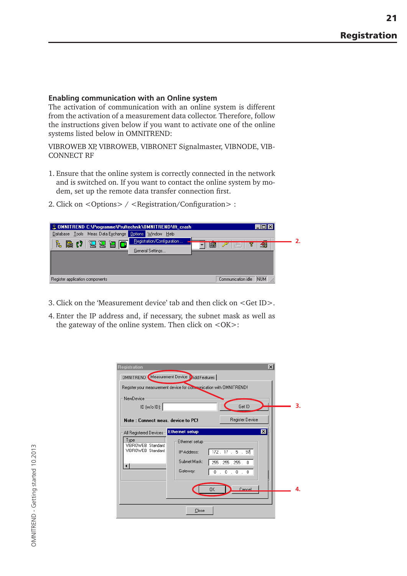#### **Enabling communication with an Online system**

The activation of communication with an online system is different from the activation of a measurement data collector. Therefore, follow the instructions given below if you want to activate one of the online systems listed below in OMNITREND:

VIBROWEB XP, VIBROWEB, VIBRONET Signalmaster, VIBNODE, VIB-CONNECT RF

- 1. Ensure that the online system is correctly connected in the network and is switched on. If you want to contact the online system by modem, set up the remote data transfer connection first.
- 2. Click on <Options> / <Registration/Configuration> :



- 3. Click on the 'Measurement device' tab and then click on <Get ID>.
- 4. Enter the IP address and, if necessary, the subnet mask as well as the gateway of the online system. Then click on  $\leq$ OK $>$ :

| Registration<br>OMNITREND Measurement Device DAdd Features<br>Register your measurement device for communication with OMNITREND!<br>NewDevice<br>ID (w/o ID): |                                          | Get ID                                                       | $\vert x \vert$ | 3. |
|---------------------------------------------------------------------------------------------------------------------------------------------------------------|------------------------------------------|--------------------------------------------------------------|-----------------|----|
| Note: Connect meas, device to PC!<br>All Registered Devices-<br>Type                                                                                          | <b>Ethernet setup</b><br>Ethernet setup: | Register Device                                              | $\vert x \vert$ |    |
| VIBROWEB Standard<br>VIBROWEB Standard<br>⊣                                                                                                                   | IP-Address:<br>Subnet Mask:<br>Gateway:  | 172.17.5.97<br>255 . 255 . 255 . 0<br>0.0.1<br>$\Omega$<br>0 |                 |    |
|                                                                                                                                                               | 0K<br>Close                              | Cancel                                                       |                 | 4. |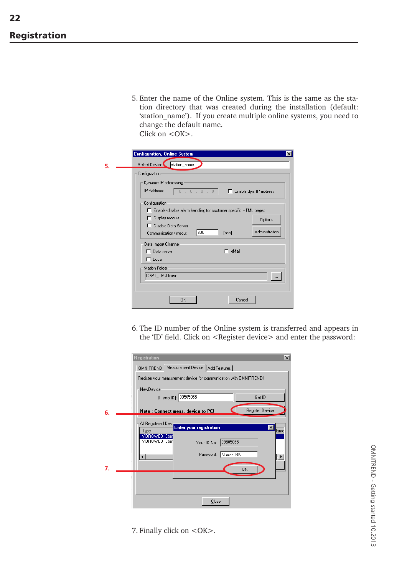5. Enter the name of the Online system. This is the same as the station directory that was created during the installation (default: 'station name'). If you create multiple online systems, you need to change the default name. Click on  $\langle$  OK $>$ .

|    | <b>Configuration, Online System</b><br>$\vert x \vert$                                                              |
|----|---------------------------------------------------------------------------------------------------------------------|
| 5. | Select Device station_name                                                                                          |
|    | Configuration                                                                                                       |
|    | Dynamic IP addressing<br>IP-Address:<br>0.0.0.0.0<br>Enable dyn. IP address                                         |
|    | Configuration<br>Enable/disable alarm handling for customer specific HTML pages<br>Display module<br><b>Options</b> |
|    | Disable Data Server<br>ш<br>Administration<br>600<br>[sec]<br>Communication timeout:                                |
|    | Data Import Channel<br>$^-$ eMail<br>Data server<br>$\sqcap$ Local                                                  |
|    | <b>Station Folder</b><br>C:\PT_CM\0nline<br>                                                                        |
|    | <b>OK</b><br>Cancel                                                                                                 |

6. The ID number of the Online system is transferred and appears in the 'ID' field. Click on <Register device> and enter the password:

|    | <b>Registration</b><br>$\boldsymbol{\mathsf{x}}$                   |
|----|--------------------------------------------------------------------|
|    | Measurement Device   Add Features  <br><b>OMNITREND</b>            |
|    | Register your measurement device for communication with OMNITREND! |
|    | NewDevice                                                          |
|    | ID (w/o ID): 09505055<br>Get ID                                    |
| 6. | Register Device<br>Note: Connect meas. device to PC!               |
|    | All Registered Devision                                            |
|    | <b>Enter your registration</b><br>$\vert x \vert$<br>llame<br>Type |
|    | VIBROWEB Star<br>VIBROWEB Star                                     |
|    | 09505055<br>Your ID No:                                            |
|    | Password: KI xxxx RK<br>$\blacktriangleright$                      |
| 7. |                                                                    |
|    | <b>OK</b>                                                          |
|    |                                                                    |
|    |                                                                    |
|    | Close                                                              |
|    |                                                                    |

7. Finally click on <OK>.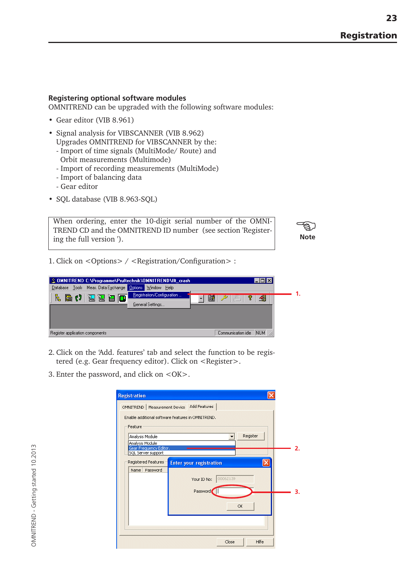## **Registering optional software modules**

OMNITREND can be upgraded with the following software modules:

- Gear editor (VIB 8.961)
- Signal analysis for VIBSCANNER (VIB 8.962) Upgrades OMNITREND for VIBSCANNER by the:
	- Import of time signals (MultiMode/ Route) and
	- Orbit measurements (Multimode)
	- Import of recording measurements (MultiMode)
	- Import of balancing data
	- Gear editor
- SQL database (VIB 8.963-SQL)

When ordering, enter the 10-digit serial number of the OMNI-TREND CD and the OMNITREND ID number (see section 'Registering the full version ').

**Note** -නූ

1. Click on <Options> / <Registration/Configuration> :

| & OMNITREND C:\Programme\Pruftechnik\OMNITREND\fft_crash |                                                                                            |  |
|----------------------------------------------------------|--------------------------------------------------------------------------------------------|--|
| Database Tools Meas, Data Exchange Options Window Help   |                                                                                            |  |
| 臥<br><b>阳() 活活用口</b>                                     | Registration/Configuration<br>$\ \mathbf{B}\ $ $\mathcal{P}\ $ and $\mathbf{\overline{r}}$ |  |
| General Settings                                         |                                                                                            |  |
|                                                          |                                                                                            |  |
|                                                          |                                                                                            |  |
|                                                          |                                                                                            |  |
| Register application components                          | NUM<br>Communication idle                                                                  |  |

- 2. Click on the 'Add. features' tab and select the function to be registered (e.g. Gear frequency editor). Click on <Register>.
- 3. Enter the password, and click on <OK>.

| Feature                            |                                |          |
|------------------------------------|--------------------------------|----------|
| Analysis Module<br>Analysis Module |                                | Register |
| Gear Frequency Editor.             |                                |          |
| SQL Server support                 |                                |          |
| Registered Features                | <b>Enter your registration</b> |          |
| Name<br>Password                   |                                |          |
|                                    | 00062139<br>Your ID No:        |          |
|                                    |                                |          |
|                                    | Password                       |          |
|                                    |                                |          |
|                                    |                                | OK       |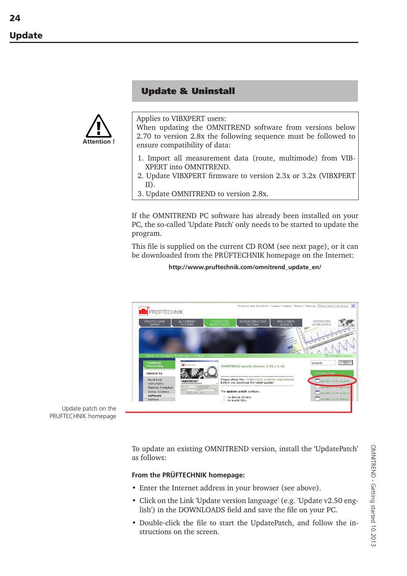# Update & Uninstall



Applies to VIBXPERT users:

When updating the OMNITREND software from versions below 2.70 to version 2.8x the following sequence must be followed to ensure compatibility of data:

- 1. Import all measurement data (route, multimode) from VIB-XPERT into OMNITREND.
- 2. Update VIBXPERT firmware to version 2.3x or 3.2x (VIBXPERT II).
- 3. Update OMNITREND to version 2.8x.

If the OMNITREND PC software has already been installed on your PC, the so-called 'Update Patch' only needs to be started to update the program.

This file is supplied on the current CD ROM (see next page), or it can be downloaded from the PRÜFTECHNIK homepage on the Internet:

**http://www.pruftechnik.com/omnitrend\_update\_en/**



Update patch on the PRUFTECHNIK homepage

> To update an existing OMNITREND version, install the 'UpdatePatch' as follows:

#### **From the PRÜFTECHNIK homepage:**

- Enter the Internet address in your browser (see above).
- Click on the Link 'Update version language' (e.g. 'Update v2.50 english') in the DOWNLOADS field and save the file on your PC.
- Double-click the file to start the UpdatePatch, and follow the instructions on the screen.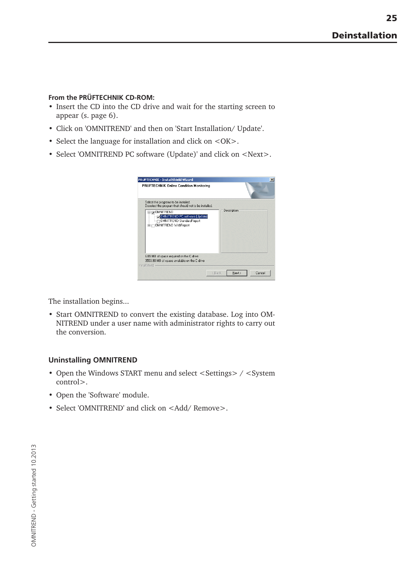## **From the PRÜFTECHNIK CD-ROM:**

- Insert the CD into the CD drive and wait for the starting screen to appear (s. page 6).
- Click on 'OMNITREND' and then on 'Start Installation/ Update'.
- Select the language for installation and click on <OK>.
- Select 'OMNITREND PC software (Update)' and click on <Next>.



The installation begins...

• Start OMNITREND to convert the existing database. Log into OM-NITREND under a user name with administrator rights to carry out the conversion.

## **Uninstalling OMNITREND**

- Open the Windows START menu and select <Settings> / <System control>.
- Open the 'Software' module.
- Select 'OMNITREND' and click on <Add/ Remove>.